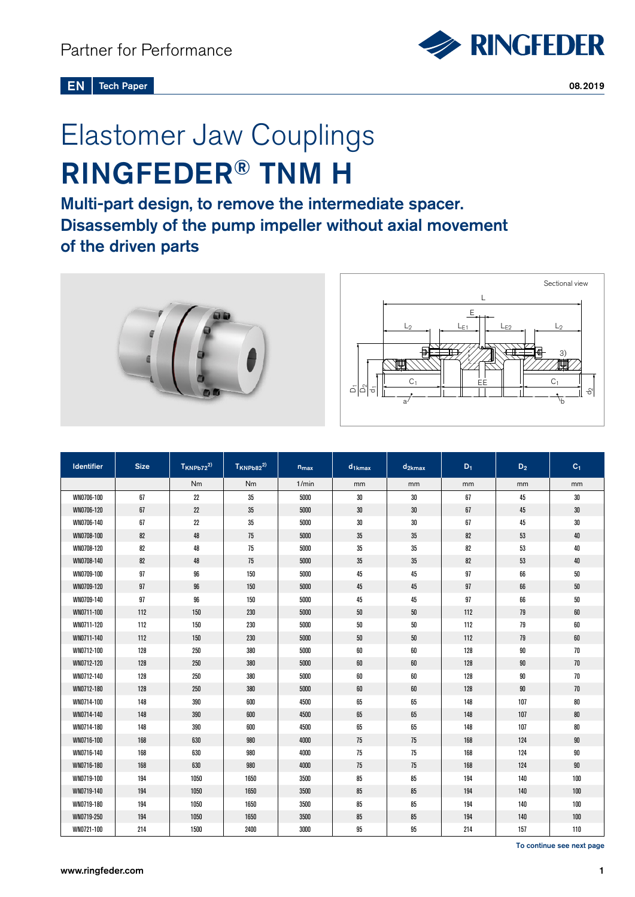

# Elastomer Jaw Couplings RINGFEDER® TNM H

Multi-part design, to remove the intermediate spacer. Disassembly of the pump impeller without axial movement of the driven parts



| Identifier | <b>Size</b> | $T_{KNPb72}^{2)}$ | $T_{KNPb82}^{2)}$ | $n_{max}$ | $d_{1kmax}$ | $d_{2kmax}$ | $D_1$ | $\mathsf{D}_2$ | $C_1$  |
|------------|-------------|-------------------|-------------------|-----------|-------------|-------------|-------|----------------|--------|
|            |             | Nm                | <b>Nm</b>         | 1/min     | mm          | mm          | mm    | mm             | mm     |
| WN0706-100 | 67          | 22                | 35                | 5000      | 30          | $30\,$      | 67    | 45             | 30     |
| WN0706-120 | 67          | 22                | 35                | 5000      | 30          | $30\,$      | 67    | 45             | $30\,$ |
| WN0706-140 | 67          | 22                | $35\,$            | 5000      | 30          | $30\,$      | 67    | 45             | $30\,$ |
| WN0708-100 | 82          | 48                | 75                | 5000      | 35          | 35          | 82    | $53\,$         | 40     |
| WN0708-120 | 82          | 48                | 75                | 5000      | 35          | 35          | 82    | 53             | 40     |
| WN0708-140 | 82          | 48                | 75                | 5000      | 35          | 35          | 82    | $53\,$         | 40     |
| WN0709-100 | 97          | 96                | 150               | 5000      | 45          | 45          | 97    | 66             | $50\,$ |
| WN0709-120 | 97          | 96                | 150               | 5000      | 45          | 45          | 97    | 66             | $50\,$ |
| WN0709-140 | 97          | 96                | 150               | 5000      | 45          | 45          | 97    | 66             | $50\,$ |
| WN0711-100 | 112         | 150               | 230               | 5000      | $50\,$      | $50\,$      | 112   | $79$           | 60     |
| WN0711-120 | 112         | 150               | 230               | 5000      | 50          | $50\,$      | 112   | 79             | 60     |
| WN0711-140 | 112         | 150               | 230               | 5000      | $50\,$      | $50\,$      | 112   | 79             | 60     |
| WN0712-100 | 128         | 250               | 380               | 5000      | 60          | 60          | 128   | $90\,$         | 70     |
| WN0712-120 | 128         | 250               | 380               | 5000      | 60          | 60          | 128   | $90\,$         | 70     |
| WN0712-140 | 128         | 250               | 380               | 5000      | 60          | 60          | 128   | $90\,$         | $70\,$ |
| WN0712-180 | 128         | 250               | 380               | 5000      | 60          | 60          | 128   | $90\,$         | 70     |
| WN0714-100 | 148         | 390               | 600               | 4500      | 65          | 65          | 148   | 107            | 80     |
| WN0714-140 | 148         | 390               | 600               | 4500      | 65          | 65          | 148   | 107            | 80     |
| WN0714-180 | 148         | 390               | 600               | 4500      | 65          | 65          | 148   | 107            | 80     |
| WN0716-100 | 168         | 630               | 980               | 4000      | 75          | 75          | 168   | 124            | 90     |
| WN0716-140 | 168         | 630               | 980               | 4000      | 75          | 75          | 168   | 124            | 90     |
| WN0716-180 | 168         | 630               | 980               | 4000      | 75          | 75          | 168   | 124            | 90     |
| WN0719-100 | 194         | 1050              | 1650              | 3500      | 85          | 85          | 194   | 140            | 100    |
| WN0719-140 | 194         | 1050              | 1650              | 3500      | 85          | 85          | 194   | 140            | 100    |
| WN0719-180 | 194         | 1050              | 1650              | 3500      | 85          | 85          | 194   | 140            | 100    |
| WN0719-250 | 194         | 1050              | 1650              | 3500      | 85          | 85          | 194   | 140            | 100    |
| WN0721-100 | 214         | 1500              | 2400              | 3000      | 95          | 95          | 214   | 157            | 110    |

To continue see next page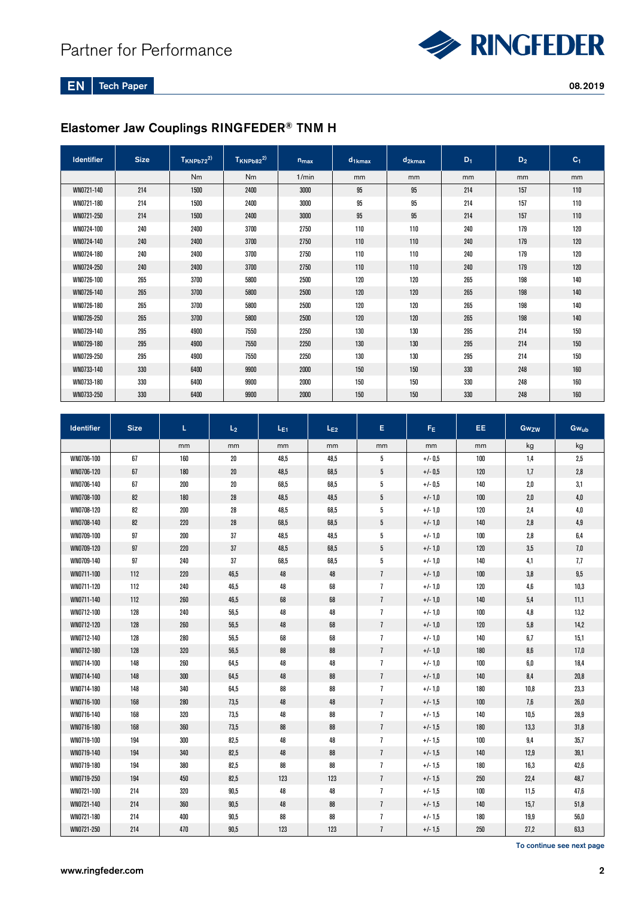

EN Tech Paper

#### 08.2019

## Elastomer Jaw Couplings RINGFEDER® TNM H

| <b>Identifier</b> | <b>Size</b> | $T$ KNPb72 <sup>2)</sup> | $TKNPb82^{2)}$ | $n_{max}$ | $d_{1kmax}$ | $d_{2kmax}$ | $D_1$ | D <sub>2</sub> | C <sub>1</sub> |
|-------------------|-------------|--------------------------|----------------|-----------|-------------|-------------|-------|----------------|----------------|
|                   |             | Nm                       | <b>Nm</b>      | 1/min     | mm          | mm          | mm    | mm             | mm             |
| WN0721-140        | 214         | 1500                     | 2400           | 3000      | 95          | 95          | 214   | 157            | 110            |
| WN0721-180        | 214         | 1500                     | 2400           | 3000      | 95          | 95          | 214   | 157            | 110            |
| WN0721-250        | 214         | 1500                     | 2400           | 3000      | 95          | 95          | 214   | 157            | 110            |
| WN0724-100        | 240         | 2400                     | 3700           | 2750      | 110         | 110         | 240   | 179            | 120            |
| WN0724-140        | 240         | 2400                     | 3700           | 2750      | 110         | 110         | 240   | 179            | 120            |
| WN0724-180        | 240         | 2400                     | 3700           | 2750      | 110         | 110         | 240   | 179            | 120            |
| WN0724-250        | 240         | 2400                     | 3700           | 2750      | 110         | 110         | 240   | 179            | 120            |
| WN0726-100        | 265         | 3700                     | 5800           | 2500      | 120         | 120         | 265   | 198            | 140            |
| WN0726-140        | 265         | 3700                     | 5800           | 2500      | 120         | 120         | 265   | 198            | 140            |
| WN0726-180        | 265         | 3700                     | 5800           | 2500      | 120         | 120         | 265   | 198            | 140            |
| WN0726-250        | 265         | 3700                     | 5800           | 2500      | 120         | 120         | 265   | 198            | 140            |
| WN0729-140        | 295         | 4900                     | 7550           | 2250      | 130         | 130         | 295   | 214            | 150            |
| WN0729-180        | 295         | 4900                     | 7550           | 2250      | 130         | 130         | 295   | 214            | 150            |
| WN0729-250        | 295         | 4900                     | 7550           | 2250      | 130         | 130         | 295   | 214            | 150            |
| WN0733-140        | 330         | 6400                     | 9900           | 2000      | 150         | 150         | 330   | 248            | 160            |
| WN0733-180        | 330         | 6400                     | 9900           | 2000      | 150         | 150         | 330   | 248            | 160            |
| WN0733-250        | 330         | 6400                     | 9900           | 2000      | 150         | 150         | 330   | 248            | 160            |

| <b>Identifier</b> | <b>Size</b> | L.  | L <sub>2</sub> | L <sub>E1</sub> | $L_{E2}$ | E.              | F <sub>E</sub> | EE. | Gwzw | <b>Gwub</b> |
|-------------------|-------------|-----|----------------|-----------------|----------|-----------------|----------------|-----|------|-------------|
|                   |             | mm  | mm             | mm              | mm       | mm              | mm             | mm  | kg   | kg          |
| WN0706-100        | 67          | 160 | $20\,$         | 48,5            | 48,5     | 5               | $+/- 0.5$      | 100 | 1,4  | 2,5         |
| WN0706-120        | 67          | 180 | $20\,$         | 48,5            | 68,5     | 5               | $+/- 0,5$      | 120 | 1,7  | 2,8         |
| WN0706-140        | 67          | 200 | $20\,$         | 68,5            | 68,5     | 5               | $+/- 0.5$      | 140 | 2,0  | 3,1         |
| WN0708-100        | 82          | 180 | $28\,$         | 48,5            | 48,5     | $5\phantom{.0}$ | $+/-1,0$       | 100 | 2,0  | 4,0         |
| WN0708-120        | 82          | 200 | 28             | 48,5            | 68,5     | 5               | $+/-1,0$       | 120 | 2,4  | 4,0         |
| WN0708-140        | 82          | 220 | $28\,$         | 68,5            | 68,5     | 5               | $+/-1,0$       | 140 | 2,8  | 4,9         |
| WN0709-100        | 97          | 200 | 37             | 48,5            | 48,5     | 5               | $+/-1,0$       | 100 | 2,8  | 6,4         |
| WN0709-120        | 97          | 220 | 37             | 48,5            | 68,5     | $5\phantom{.0}$ | $+/-1,0$       | 120 | 3,5  | 7,0         |
| WN0709-140        | 97          | 240 | 37             | 68,5            | 68,5     | 5               | $+/-1,0$       | 140 | 4,1  | 7,7         |
| WN0711-100        | 112         | 220 | 46,5           | 48              | 48       | $\overline{1}$  | $+/-1,0$       | 100 | 3,8  | 9,5         |
| WN0711-120        | 112         | 240 | 46,5           | 48              | 68       | $\overline{1}$  | $+/-1,0$       | 120 | 4,6  | 10,3        |
| WN0711-140        | 112         | 260 | 46,5           | 68              | 68       | $\overline{1}$  | $+/-1,0$       | 140 | 5,4  | 11,1        |
| WN0712-100        | 128         | 240 | 56,5           | 48              | 48       | $\overline{1}$  | $+/-1,0$       | 100 | 4,8  | 13,2        |
| WN0712-120        | 128         | 260 | 56,5           | 48              | 68       | $\overline{1}$  | $+/-1,0$       | 120 | 5,8  | 14,2        |
| WN0712-140        | 128         | 280 | 56,5           | 68              | 68       | $\overline{1}$  | $+/-1,0$       | 140 | 6,7  | 15,1        |
| WN0712-180        | 128         | 320 | 56,5           | 88              | 88       | $\overline{1}$  | $+/-1,0$       | 180 | 8,6  | 17,0        |
| WN0714-100        | 148         | 260 | 64,5           | 48              | 48       | $\overline{1}$  | $+/-1,0$       | 100 | 6,0  | 18,4        |
| WN0714-140        | 148         | 300 | 64,5           | 48              | 88       | $\overline{1}$  | $+/-1,0$       | 140 | 8,4  | 20.8        |
| WN0714-180        | 148         | 340 | 64,5           | 88              | 88       | $\overline{1}$  | $+/-1,0$       | 180 | 10,8 | 23,3        |
| WN0716-100        | 168         | 280 | 73,5           | 48              | 48       | $\overline{1}$  | $+/-1.5$       | 100 | 7,6  | 26,0        |
| WN0716-140        | 168         | 320 | 73,5           | 48              | 88       | $\overline{1}$  | $+/-1,5$       | 140 | 10,5 | 28,9        |
| WN0716-180        | 168         | 360 | 73,5           | 88              | 88       | $\overline{1}$  | $+/-1.5$       | 180 | 13,3 | 31,8        |
| WN0719-100        | 194         | 300 | 82,5           | 48              | 48       | $\overline{1}$  | $+/- 1,5$      | 100 | 9,4  | 35,7        |
| WN0719-140        | 194         | 340 | 82,5           | 48              | 88       | $\overline{1}$  | $+/-1,5$       | 140 | 12,9 | 39,1        |
| WN0719-180        | 194         | 380 | 82,5           | 88              | 88       | $\overline{1}$  | $+/-1,5$       | 180 | 16,3 | 42,6        |
| WN0719-250        | 194         | 450 | 82,5           | 123             | 123      | $\overline{1}$  | $+/-1.5$       | 250 | 22,4 | 48,7        |
| WN0721-100        | 214         | 320 | 90,5           | 48              | 48       | $\overline{1}$  | $+/-1.5$       | 100 | 11,5 | 47,6        |
| WN0721-140        | 214         | 360 | 90,5           | 48              | 88       | $\overline{1}$  | $+/-1.5$       | 140 | 15,7 | 51,8        |
| WN0721-180        | 214         | 400 | 90,5           | 88              | 88       | $\overline{1}$  | $+/-1,5$       | 180 | 19,9 | 56,0        |
| WN0721-250        | 214         | 470 | 90,5           | 123             | 123      | $\overline{1}$  | $+/-1,5$       | 250 | 27,2 | 63,3        |

To continue see next page